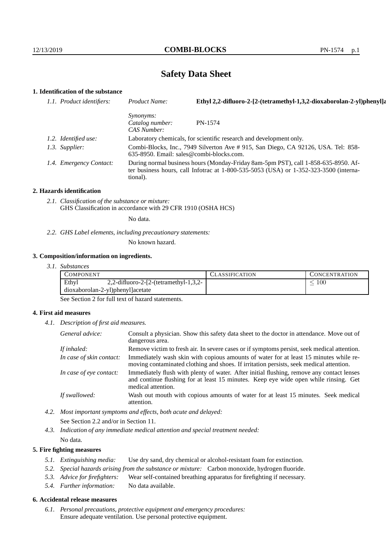# **Safety Data Sheet**

# **1. Identification of the substance**

| 1.1. Product identifiers: | Ethyl 2,2-difluoro-2-[2-(tetramethyl-1,3,2-dioxaborolan-2-yl)phenyl]a<br>Product Name:                                                                                                  |                                                                     |
|---------------------------|-----------------------------------------------------------------------------------------------------------------------------------------------------------------------------------------|---------------------------------------------------------------------|
|                           | <i>Synonyms:</i><br>Catalog number:<br>CAS Number:                                                                                                                                      | PN-1574                                                             |
| 1.2. Identified use:      |                                                                                                                                                                                         | Laboratory chemicals, for scientific research and development only. |
| 1.3. Supplier:            | Combi-Blocks, Inc., 7949 Silverton Ave # 915, San Diego, CA 92126, USA. Tel: 858-<br>$635-8950$ . Email: sales@combi-blocks.com.                                                        |                                                                     |
| 1.4. Emergency Contact:   | During normal business hours (Monday-Friday 8am-5pm PST), call 1-858-635-8950. Af-<br>ter business hours, call Infotrac at 1-800-535-5053 (USA) or 1-352-323-3500 (interna-<br>tional). |                                                                     |

#### **2. Hazards identification**

*2.1. Classification of the substance or mixture:* GHS Classification in accordance with 29 CFR 1910 (OSHA HCS)

No data.

*2.2. GHS Label elements, including precautionary statements:*

No known hazard.

### **3. Composition/information on ingredients.**

|  | 3. I. | <i>Substances</i> |
|--|-------|-------------------|
|--|-------|-------------------|

| COMPONENT                        |                                          | LASSIFICATION | <b>CONCENTRATION</b> |
|----------------------------------|------------------------------------------|---------------|----------------------|
| Ethyl                            | 2,2-difluoro-2- $[2-(tetramethyl-1,3,2-$ |               | $100\,$              |
| dioxaborolan-2-yl)phenyl]acetate |                                          |               |                      |

See Section 2 for full text of hazard statements.

## **4. First aid measures**

*4.1. Description of first aid measures.*

| General advice:          | Consult a physician. Show this safety data sheet to the doctor in attendance. Move out of<br>dangerous area.                                                                                            |  |
|--------------------------|---------------------------------------------------------------------------------------------------------------------------------------------------------------------------------------------------------|--|
| If inhaled:              | Remove victim to fresh air. In severe cases or if symptoms persist, seek medical attention.                                                                                                             |  |
| In case of skin contact: | Immediately wash skin with copious amounts of water for at least 15 minutes while re-<br>moving contaminated clothing and shoes. If irritation persists, seek medical attention.                        |  |
| In case of eye contact:  | Immediately flush with plenty of water. After initial flushing, remove any contact lenses<br>and continue flushing for at least 15 minutes. Keep eye wide open while rinsing. Get<br>medical attention. |  |
| If swallowed:            | Wash out mouth with copious amounts of water for at least 15 minutes. Seek medical<br>attention.                                                                                                        |  |

- *4.2. Most important symptoms and effects, both acute and delayed:* See Section 2.2 and/or in Section 11.
- *4.3. Indication of any immediate medical attention and special treatment needed:* No data.

## **5. Fire fighting measures**

- *5.1. Extinguishing media:* Use dry sand, dry chemical or alcohol-resistant foam for extinction.
- *5.2. Special hazards arising from the substance or mixture:* Carbon monoxide, hydrogen fluoride.
- *5.3. Advice for firefighters:* Wear self-contained breathing apparatus for firefighting if necessary.
- *5.4. Further information:* No data available.

## **6. Accidental release measures**

*6.1. Personal precautions, protective equipment and emergency procedures:* Ensure adequate ventilation. Use personal protective equipment.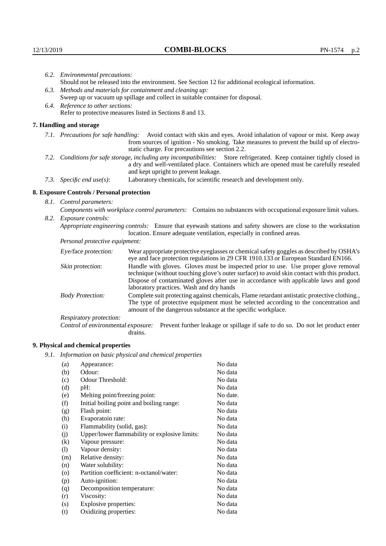|                                                           | 6.2. Environmental precautions:                                                                                                                                                                                                                            |                                                                                                                                                                                                                                                                    |  |  |  |
|-----------------------------------------------------------|------------------------------------------------------------------------------------------------------------------------------------------------------------------------------------------------------------------------------------------------------------|--------------------------------------------------------------------------------------------------------------------------------------------------------------------------------------------------------------------------------------------------------------------|--|--|--|
|                                                           | Should not be released into the environment. See Section 12 for additional ecological information.                                                                                                                                                         |                                                                                                                                                                                                                                                                    |  |  |  |
|                                                           |                                                                                                                                                                                                                                                            | 6.3. Methods and materials for containment and cleaning up:                                                                                                                                                                                                        |  |  |  |
|                                                           | Sweep up or vacuum up spillage and collect in suitable container for disposal.                                                                                                                                                                             |                                                                                                                                                                                                                                                                    |  |  |  |
|                                                           | 6.4. Reference to other sections:                                                                                                                                                                                                                          |                                                                                                                                                                                                                                                                    |  |  |  |
| Refer to protective measures listed in Sections 8 and 13. |                                                                                                                                                                                                                                                            |                                                                                                                                                                                                                                                                    |  |  |  |
|                                                           | 7. Handling and storage                                                                                                                                                                                                                                    |                                                                                                                                                                                                                                                                    |  |  |  |
|                                                           |                                                                                                                                                                                                                                                            | 7.1. Precautions for safe handling: Avoid contact with skin and eyes. Avoid inhalation of vapour or mist. Keep away<br>from sources of ignition - No smoking. Take measures to prevent the build up of electro-<br>static charge. For precautions see section 2.2. |  |  |  |
|                                                           | 7.2. Conditions for safe storage, including any incompatibilities: Store refrigerated. Keep container tightly closed in<br>a dry and well-ventilated place. Containers which are opened must be carefully resealed<br>and kept upright to prevent leakage. |                                                                                                                                                                                                                                                                    |  |  |  |
|                                                           | Laboratory chemicals, for scientific research and development only.<br>7.3. Specific end use(s):                                                                                                                                                           |                                                                                                                                                                                                                                                                    |  |  |  |
|                                                           | 8. Exposure Controls / Personal protection                                                                                                                                                                                                                 |                                                                                                                                                                                                                                                                    |  |  |  |
|                                                           | 8.1. Control parameters:                                                                                                                                                                                                                                   |                                                                                                                                                                                                                                                                    |  |  |  |
|                                                           | Components with workplace control parameters: Contains no substances with occupational exposure limit values.                                                                                                                                              |                                                                                                                                                                                                                                                                    |  |  |  |
| 8.2. Exposure controls:                                   |                                                                                                                                                                                                                                                            |                                                                                                                                                                                                                                                                    |  |  |  |
|                                                           |                                                                                                                                                                                                                                                            | Appropriate engineering controls: Ensure that eyewash stations and safety showers are close to the workstation<br>location. Ensure adequate ventilation, especially in confined areas.                                                                             |  |  |  |
|                                                           | Personal protective equipment:                                                                                                                                                                                                                             |                                                                                                                                                                                                                                                                    |  |  |  |
|                                                           | Eye/face protection:                                                                                                                                                                                                                                       | Wear appropriate protective eyeglasses or chemical safety goggles as described by OSHA's<br>eye and face protection regulations in 29 CFR 1910.133 or European Standard EN166.                                                                                     |  |  |  |
|                                                           | Skin protection:                                                                                                                                                                                                                                           | Handle with gloves. Gloves must be inspected prior to use. Use proper glove removal<br>technique (without touching glove's outer surface) to avoid skin contact with this product.                                                                                 |  |  |  |

| Eye/face protection:                                                                    |                                                                                                                                                                                                                                                                                                                        | Wear appropriate protective eyeglasses or chemical safety goggles as described by OSHA's<br>eye and face protection regulations in 29 CFR 1910.133 or European Standard EN166.       |
|-----------------------------------------------------------------------------------------|------------------------------------------------------------------------------------------------------------------------------------------------------------------------------------------------------------------------------------------------------------------------------------------------------------------------|--------------------------------------------------------------------------------------------------------------------------------------------------------------------------------------|
| Skin protection:                                                                        | Handle with gloves. Gloves must be inspected prior to use. Use proper glove removal<br>technique (without touching glove's outer surface) to avoid skin contact with this product.<br>Dispose of contaminated gloves after use in accordance with applicable laws and good<br>laboratory practices. Wash and dry hands |                                                                                                                                                                                      |
| <b>Body Protection:</b><br>amount of the dangerous substance at the specific workplace. |                                                                                                                                                                                                                                                                                                                        | Complete suit protecting against chemicals, Flame retardant antistatic protective clothing.,<br>The type of protective equipment must be selected according to the concentration and |
| Respiratory protection:                                                                 |                                                                                                                                                                                                                                                                                                                        |                                                                                                                                                                                      |
| Control of environmental exposure:<br>drains.                                           |                                                                                                                                                                                                                                                                                                                        | Prevent further leakage or spillage if safe to do so. Do not let product enter                                                                                                       |

# **9. Physical and chemical properties**

*9.1. Information on basic physical and chemical properties*

| (a)      | Appearance:                                   | No data  |
|----------|-----------------------------------------------|----------|
| (b)      | Odour:                                        | No data  |
| (c)      | Odour Threshold:                              | No data  |
| (d)      | pH:                                           | No data  |
| (e)      | Melting point/freezing point:                 | No date. |
| (f)      | Initial boiling point and boiling range:      | No data  |
| (g)      | Flash point:                                  | No data  |
| (h)      | Evaporatoin rate:                             | No data  |
| (i)      | Flammability (solid, gas):                    | No data  |
| (j)      | Upper/lower flammability or explosive limits: | No data  |
| $\rm(k)$ | Vapour pressure:                              | No data  |
| (1)      | Vapour density:                               | No data  |
| (m)      | Relative density:                             | No data  |
| (n)      | Water solubility:                             | No data  |
| (0)      | Partition coefficient: n-octanol/water:       | No data  |
| (p)      | Auto-ignition:                                | No data  |
| (q)      | Decomposition temperature:                    | No data  |
| (r)      | Viscosity:                                    | No data  |
| (s)      | Explosive properties:                         | No data  |
| (t)      | Oxidizing properties:                         | No data  |